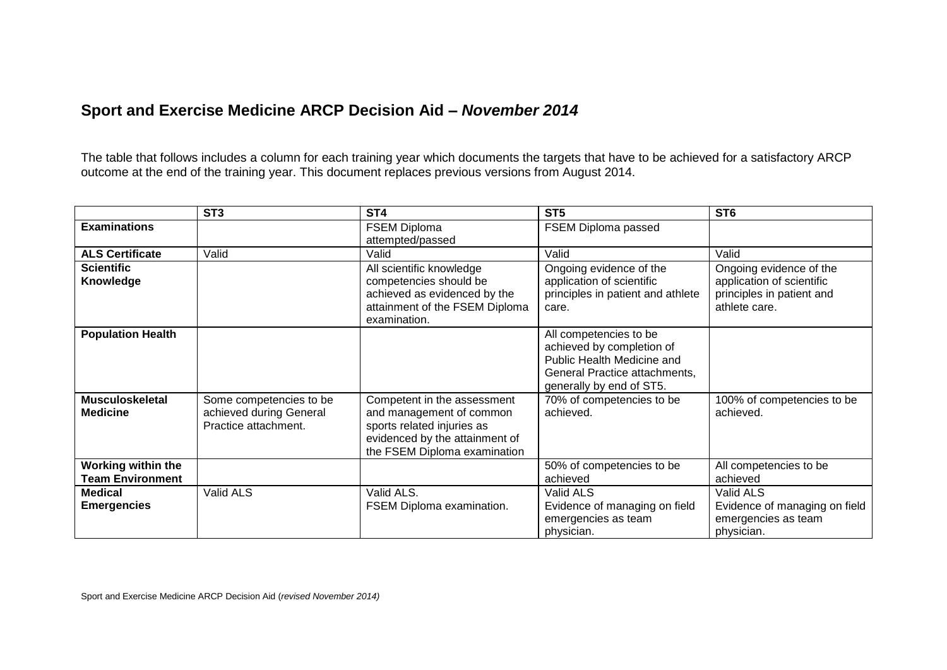## **Sport and Exercise Medicine ARCP Decision Aid –** *November 2014*

The table that follows includes a column for each training year which documents the targets that have to be achieved for a satisfactory ARCP outcome at the end of the training year. This document replaces previous versions from August 2014.

|                                               | ST <sub>3</sub>                                                            | ST <sub>4</sub>                                                                                                                                         | ST <sub>5</sub>                                                                                                                                | ST <sub>6</sub>                                                                                    |
|-----------------------------------------------|----------------------------------------------------------------------------|---------------------------------------------------------------------------------------------------------------------------------------------------------|------------------------------------------------------------------------------------------------------------------------------------------------|----------------------------------------------------------------------------------------------------|
| <b>Examinations</b>                           |                                                                            | <b>FSEM Diploma</b><br>attempted/passed                                                                                                                 | FSEM Diploma passed                                                                                                                            |                                                                                                    |
| <b>ALS Certificate</b>                        | Valid                                                                      | Valid                                                                                                                                                   | Valid                                                                                                                                          | Valid                                                                                              |
| <b>Scientific</b><br>Knowledge                |                                                                            | All scientific knowledge<br>competencies should be<br>achieved as evidenced by the<br>attainment of the FSEM Diploma<br>examination.                    | Ongoing evidence of the<br>application of scientific<br>principles in patient and athlete<br>care.                                             | Ongoing evidence of the<br>application of scientific<br>principles in patient and<br>athlete care. |
| <b>Population Health</b>                      |                                                                            |                                                                                                                                                         | All competencies to be<br>achieved by completion of<br>Public Health Medicine and<br>General Practice attachments,<br>generally by end of ST5. |                                                                                                    |
| <b>Musculoskeletal</b><br><b>Medicine</b>     | Some competencies to be<br>achieved during General<br>Practice attachment. | Competent in the assessment<br>and management of common<br>sports related injuries as<br>evidenced by the attainment of<br>the FSEM Diploma examination | 70% of competencies to be<br>achieved.                                                                                                         | 100% of competencies to be<br>achieved.                                                            |
| Working within the<br><b>Team Environment</b> |                                                                            |                                                                                                                                                         | 50% of competencies to be<br>achieved                                                                                                          | All competencies to be<br>achieved                                                                 |
| <b>Medical</b><br><b>Emergencies</b>          | Valid ALS                                                                  | Valid ALS.<br>FSEM Diploma examination.                                                                                                                 | Valid ALS<br>Evidence of managing on field<br>emergencies as team<br>physician.                                                                | Valid ALS<br>Evidence of managing on field<br>emergencies as team<br>physician.                    |

Sport and Exercise Medicine ARCP Decision Aid (*revised November 2014)*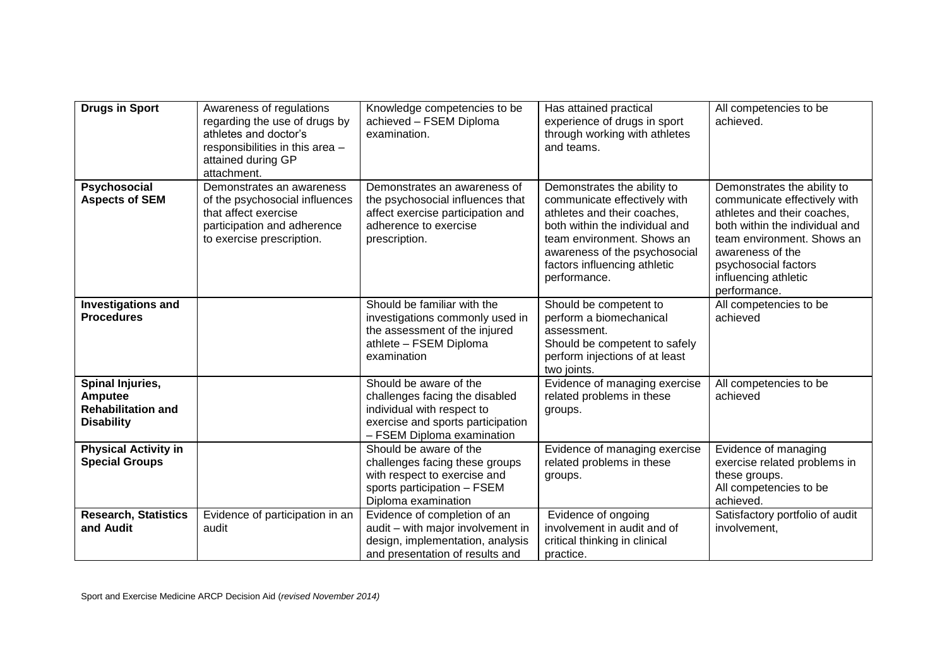| <b>Drugs in Sport</b>                                                         | Awareness of regulations<br>regarding the use of drugs by<br>athletes and doctor's<br>responsibilities in this area -<br>attained during GP<br>attachment. | Knowledge competencies to be<br>achieved - FSEM Diploma<br>examination.                                                                                   | Has attained practical<br>experience of drugs in sport<br>through working with athletes<br>and teams.                                                                                                                                       | All competencies to be<br>achieved.                                                                                                                                                                                                            |
|-------------------------------------------------------------------------------|------------------------------------------------------------------------------------------------------------------------------------------------------------|-----------------------------------------------------------------------------------------------------------------------------------------------------------|---------------------------------------------------------------------------------------------------------------------------------------------------------------------------------------------------------------------------------------------|------------------------------------------------------------------------------------------------------------------------------------------------------------------------------------------------------------------------------------------------|
| Psychosocial<br><b>Aspects of SEM</b>                                         | Demonstrates an awareness<br>of the psychosocial influences<br>that affect exercise<br>participation and adherence<br>to exercise prescription.            | Demonstrates an awareness of<br>the psychosocial influences that<br>affect exercise participation and<br>adherence to exercise<br>prescription.           | Demonstrates the ability to<br>communicate effectively with<br>athletes and their coaches,<br>both within the individual and<br>team environment. Shows an<br>awareness of the psychosocial<br>factors influencing athletic<br>performance. | Demonstrates the ability to<br>communicate effectively with<br>athletes and their coaches,<br>both within the individual and<br>team environment. Shows an<br>awareness of the<br>psychosocial factors<br>influencing athletic<br>performance. |
| <b>Investigations and</b><br><b>Procedures</b>                                |                                                                                                                                                            | Should be familiar with the<br>investigations commonly used in<br>the assessment of the injured<br>athlete - FSEM Diploma<br>examination                  | Should be competent to<br>perform a biomechanical<br>assessment.<br>Should be competent to safely<br>perform injections of at least<br>two joints.                                                                                          | All competencies to be<br>achieved                                                                                                                                                                                                             |
| Spinal Injuries,<br>Amputee<br><b>Rehabilitation and</b><br><b>Disability</b> |                                                                                                                                                            | Should be aware of the<br>challenges facing the disabled<br>individual with respect to<br>exercise and sports participation<br>- FSEM Diploma examination | Evidence of managing exercise<br>related problems in these<br>groups.                                                                                                                                                                       | All competencies to be<br>achieved                                                                                                                                                                                                             |
| <b>Physical Activity in</b><br><b>Special Groups</b>                          |                                                                                                                                                            | Should be aware of the<br>challenges facing these groups<br>with respect to exercise and<br>sports participation - FSEM<br>Diploma examination            | Evidence of managing exercise<br>related problems in these<br>groups.                                                                                                                                                                       | Evidence of managing<br>exercise related problems in<br>these groups.<br>All competencies to be<br>achieved.                                                                                                                                   |
| <b>Research, Statistics</b><br>and Audit                                      | Evidence of participation in an<br>audit                                                                                                                   | Evidence of completion of an<br>audit - with major involvement in<br>design, implementation, analysis<br>and presentation of results and                  | Evidence of ongoing<br>involvement in audit and of<br>critical thinking in clinical<br>practice.                                                                                                                                            | Satisfactory portfolio of audit<br>involvement,                                                                                                                                                                                                |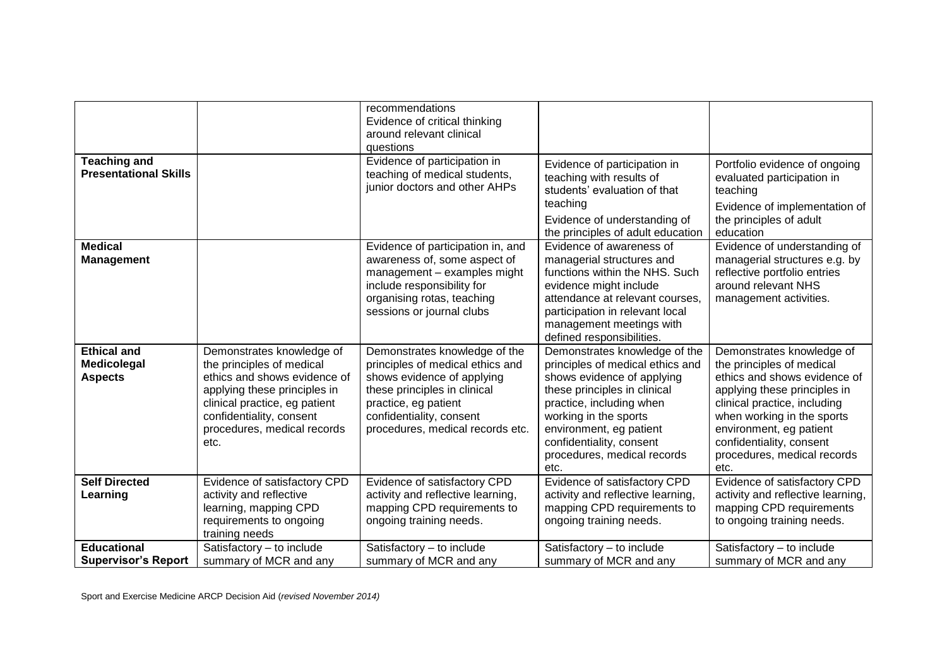| <b>Teaching and</b>                                 |                                                                                                                                                                                                                            | recommendations<br>Evidence of critical thinking<br>around relevant clinical<br>questions<br>Evidence of participation in                                                                                               |                                                                                                                                                                                                                                                                                    |                                                                                                                                                                                                                                                                                    |
|-----------------------------------------------------|----------------------------------------------------------------------------------------------------------------------------------------------------------------------------------------------------------------------------|-------------------------------------------------------------------------------------------------------------------------------------------------------------------------------------------------------------------------|------------------------------------------------------------------------------------------------------------------------------------------------------------------------------------------------------------------------------------------------------------------------------------|------------------------------------------------------------------------------------------------------------------------------------------------------------------------------------------------------------------------------------------------------------------------------------|
| <b>Presentational Skills</b>                        |                                                                                                                                                                                                                            | teaching of medical students,<br>junior doctors and other AHPs                                                                                                                                                          | Evidence of participation in<br>teaching with results of<br>students' evaluation of that<br>teaching<br>Evidence of understanding of<br>the principles of adult education                                                                                                          | Portfolio evidence of ongoing<br>evaluated participation in<br>teaching<br>Evidence of implementation of<br>the principles of adult<br>education                                                                                                                                   |
| <b>Medical</b><br><b>Management</b>                 |                                                                                                                                                                                                                            | Evidence of participation in, and<br>awareness of, some aspect of<br>management - examples might<br>include responsibility for<br>organising rotas, teaching<br>sessions or journal clubs                               | Evidence of awareness of<br>managerial structures and<br>functions within the NHS. Such<br>evidence might include<br>attendance at relevant courses,<br>participation in relevant local<br>management meetings with<br>defined responsibilities.                                   | Evidence of understanding of<br>managerial structures e.g. by<br>reflective portfolio entries<br>around relevant NHS<br>management activities.                                                                                                                                     |
| <b>Ethical and</b><br>Medicolegal<br><b>Aspects</b> | Demonstrates knowledge of<br>the principles of medical<br>ethics and shows evidence of<br>applying these principles in<br>clinical practice, eg patient<br>confidentiality, consent<br>procedures, medical records<br>etc. | Demonstrates knowledge of the<br>principles of medical ethics and<br>shows evidence of applying<br>these principles in clinical<br>practice, eg patient<br>confidentiality, consent<br>procedures, medical records etc. | Demonstrates knowledge of the<br>principles of medical ethics and<br>shows evidence of applying<br>these principles in clinical<br>practice, including when<br>working in the sports<br>environment, eg patient<br>confidentiality, consent<br>procedures, medical records<br>etc. | Demonstrates knowledge of<br>the principles of medical<br>ethics and shows evidence of<br>applying these principles in<br>clinical practice, including<br>when working in the sports<br>environment, eg patient<br>confidentiality, consent<br>procedures, medical records<br>etc. |
| <b>Self Directed</b><br>Learning                    | Evidence of satisfactory CPD<br>activity and reflective<br>learning, mapping CPD<br>requirements to ongoing<br>training needs                                                                                              | Evidence of satisfactory CPD<br>activity and reflective learning,<br>mapping CPD requirements to<br>ongoing training needs.                                                                                             | Evidence of satisfactory CPD<br>activity and reflective learning,<br>mapping CPD requirements to<br>ongoing training needs.                                                                                                                                                        | Evidence of satisfactory CPD<br>activity and reflective learning,<br>mapping CPD requirements<br>to ongoing training needs.                                                                                                                                                        |
| <b>Educational</b><br><b>Supervisor's Report</b>    | Satisfactory - to include<br>summary of MCR and any                                                                                                                                                                        | Satisfactory - to include<br>summary of MCR and any                                                                                                                                                                     | Satisfactory - to include<br>summary of MCR and any                                                                                                                                                                                                                                | Satisfactory - to include<br>summary of MCR and any                                                                                                                                                                                                                                |

Sport and Exercise Medicine ARCP Decision Aid (*revised November 2014)*